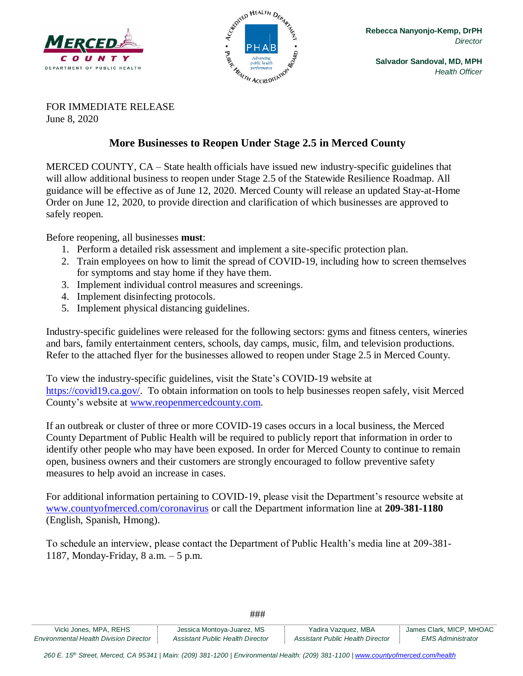



FOR IMMEDIATE RELEASE June 8, 2020

## **More Businesses to Reopen Under Stage 2.5 in Merced County**

MERCED COUNTY, CA – State health officials have issued new industry-specific guidelines that will allow additional business to reopen under Stage 2.5 of the Statewide Resilience Roadmap. All guidance will be effective as of June 12, 2020. Merced County will release an updated Stay-at-Home Order on June 12, 2020, to provide direction and clarification of which businesses are approved to safely reopen.

Before reopening, all businesses **must**:

- 1. Perform a detailed risk assessment and implement a site-specific protection plan.
- 2. Train employees on how to limit the spread of COVID-19, including how to screen themselves for symptoms and stay home if they have them.
- 3. Implement individual control measures and screenings.
- 4. Implement disinfecting protocols.
- 5. Implement physical distancing guidelines.

Industry-specific guidelines were released for the following sectors: gyms and fitness centers, wineries and bars, family entertainment centers, schools, day camps, music, film, and television productions. Refer to the attached flyer for the businesses allowed to reopen under Stage 2.5 in Merced County.

To view the industry-specific guidelines, visit the State's COVID-19 website at [https://covid19.ca.gov/.](https://covid19.ca.gov/) To obtain information on tools to help businesses reopen safely, visit Merced County's website at [www.reopenmercedcounty.com.](http://www.reopenmercedcounty.com/)

If an outbreak or cluster of three or more COVID-19 cases occurs in a local business, the Merced County Department of Public Health will be required to publicly report that information in order to identify other people who may have been exposed. In order for Merced County to continue to remain open, business owners and their customers are strongly encouraged to follow preventive safety measures to help avoid an increase in cases.

For additional information pertaining to COVID-19, please visit the Department's resource website at [www.countyofmerced.com/coronavirus](http://www.countyofmerced.com/coronavirus) or call the Department information line at **209-381-1180** (English, Spanish, Hmong).

To schedule an interview, please contact the Department of Public Health's media line at 209-381- 1187, Monday-Friday, 8 a.m. – 5 p.m.

| Vicki Jones, MPA, REHS                        | Jessica Montoya-Juarez, MS       | Yadira Vazquez, MBA              | James Clark, MICP, MHOAC |
|-----------------------------------------------|----------------------------------|----------------------------------|--------------------------|
| <b>Environmental Health Division Director</b> | Assistant Public Health Director | Assistant Public Health Director | EMS Administrator        |

###